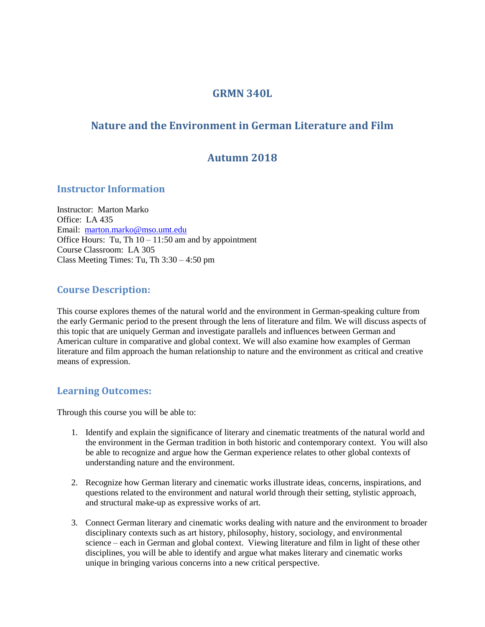## **GRMN 340L**

# **Nature and the Environment in German Literature and Film**

# **Autumn 2018**

### **Instructor Information**

Instructor: Marton Marko Office: LA 435 Email: [marton.marko@mso.umt.edu](mailto:marton.marko@mso.umt.edu) Office Hours: Tu, Th  $10 - 11:50$  am and by appointment Course Classroom: LA 305 Class Meeting Times: Tu, Th 3:30 – 4:50 pm

## **Course Description:**

This course explores themes of the natural world and the environment in German-speaking culture from the early Germanic period to the present through the lens of literature and film. We will discuss aspects of this topic that are uniquely German and investigate parallels and influences between German and American culture in comparative and global context. We will also examine how examples of German literature and film approach the human relationship to nature and the environment as critical and creative means of expression.

### **Learning Outcomes:**

Through this course you will be able to:

- 1. Identify and explain the significance of literary and cinematic treatments of the natural world and the environment in the German tradition in both historic and contemporary context. You will also be able to recognize and argue how the German experience relates to other global contexts of understanding nature and the environment.
- 2. Recognize how German literary and cinematic works illustrate ideas, concerns, inspirations, and questions related to the environment and natural world through their setting, stylistic approach, and structural make-up as expressive works of art.
- 3. Connect German literary and cinematic works dealing with nature and the environment to broader disciplinary contexts such as art history, philosophy, history, sociology, and environmental science – each in German and global context. Viewing literature and film in light of these other disciplines, you will be able to identify and argue what makes literary and cinematic works unique in bringing various concerns into a new critical perspective.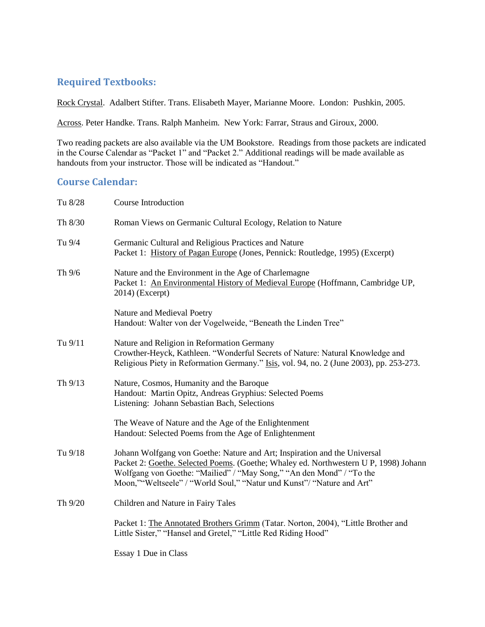## **Required Textbooks:**

Rock Crystal. Adalbert Stifter. Trans. Elisabeth Mayer, Marianne Moore. London: Pushkin, 2005.

Across. Peter Handke. Trans. Ralph Manheim. New York: Farrar, Straus and Giroux, 2000.

Two reading packets are also available via the UM Bookstore. Readings from those packets are indicated in the Course Calendar as "Packet 1" and "Packet 2." Additional readings will be made available as handouts from your instructor. Those will be indicated as "Handout."

## **Course Calendar:**

| Tu 8/28 | <b>Course Introduction</b>                                                                                                                                                                                                                                                                                         |
|---------|--------------------------------------------------------------------------------------------------------------------------------------------------------------------------------------------------------------------------------------------------------------------------------------------------------------------|
| Th 8/30 | Roman Views on Germanic Cultural Ecology, Relation to Nature                                                                                                                                                                                                                                                       |
| Tu 9/4  | Germanic Cultural and Religious Practices and Nature<br>Packet 1: History of Pagan Europe (Jones, Pennick: Routledge, 1995) (Excerpt)                                                                                                                                                                              |
| Th 9/6  | Nature and the Environment in the Age of Charlemagne<br>Packet 1: An Environmental History of Medieval Europe (Hoffmann, Cambridge UP,<br>$2014)$ (Excerpt)                                                                                                                                                        |
|         | Nature and Medieval Poetry<br>Handout: Walter von der Vogelweide, "Beneath the Linden Tree"                                                                                                                                                                                                                        |
| Tu 9/11 | Nature and Religion in Reformation Germany<br>Crowther-Heyck, Kathleen. "Wonderful Secrets of Nature: Natural Knowledge and<br>Religious Piety in Reformation Germany." Isis, vol. 94, no. 2 (June 2003), pp. 253-273.                                                                                             |
| Th 9/13 | Nature, Cosmos, Humanity and the Baroque<br>Handout: Martin Opitz, Andreas Gryphius: Selected Poems<br>Listening: Johann Sebastian Bach, Selections                                                                                                                                                                |
|         | The Weave of Nature and the Age of the Enlightenment<br>Handout: Selected Poems from the Age of Enlightenment                                                                                                                                                                                                      |
| Tu 9/18 | Johann Wolfgang von Goethe: Nature and Art; Inspiration and the Universal<br>Packet 2: Goethe. Selected Poems. (Goethe; Whaley ed. Northwestern U P, 1998) Johann<br>Wolfgang von Goethe: "Mailied" / "May Song," "An den Mond" / "To the<br>Moon,""Weltseele" / "World Soul," "Natur und Kunst"/ "Nature and Art" |
| Th 9/20 | Children and Nature in Fairy Tales                                                                                                                                                                                                                                                                                 |
|         | Packet 1: The Annotated Brothers Grimm (Tatar. Norton, 2004), "Little Brother and<br>Little Sister," "Hansel and Gretel," "Little Red Riding Hood"                                                                                                                                                                 |
|         | Essay 1 Due in Class                                                                                                                                                                                                                                                                                               |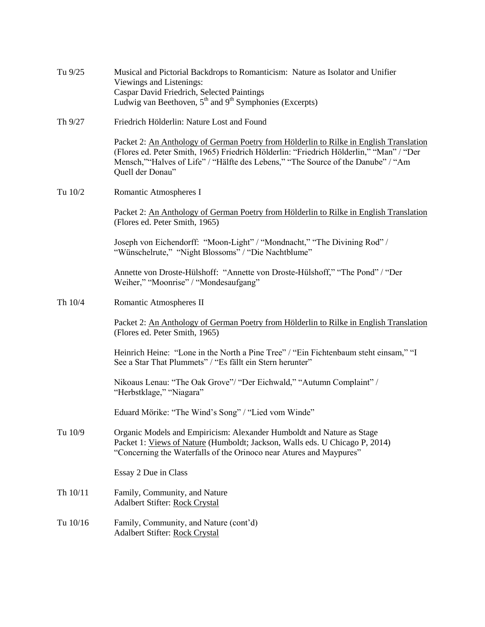| Tu 9/25  | Musical and Pictorial Backdrops to Romanticism: Nature as Isolator and Unifier<br>Viewings and Listenings:<br>Caspar David Friedrich, Selected Paintings<br>Ludwig van Beethoven, $5th$ and $9th$ Symphonies (Excerpts)                                                                   |
|----------|-------------------------------------------------------------------------------------------------------------------------------------------------------------------------------------------------------------------------------------------------------------------------------------------|
| Th 9/27  | Friedrich Hölderlin: Nature Lost and Found                                                                                                                                                                                                                                                |
|          | Packet 2: An Anthology of German Poetry from Hölderlin to Rilke in English Translation<br>(Flores ed. Peter Smith, 1965) Friedrich Hölderlin: "Friedrich Hölderlin," "Man" / "Der<br>Mensch,""Halves of Life" / "Hälfte des Lebens," "The Source of the Danube" / "Am<br>Quell der Donau" |
| Tu 10/2  | Romantic Atmospheres I                                                                                                                                                                                                                                                                    |
|          | Packet 2: An Anthology of German Poetry from Hölderlin to Rilke in English Translation<br>(Flores ed. Peter Smith, 1965)                                                                                                                                                                  |
|          | Joseph von Eichendorff: "Moon-Light" / "Mondnacht," "The Divining Rod" /<br>"Wünschelrute," "Night Blossoms" / "Die Nachtblume"                                                                                                                                                           |
|          | Annette von Droste-Hülshoff: "Annette von Droste-Hülshoff," "The Pond" / "Der<br>Weiher," "Moonrise" / "Mondesaufgang"                                                                                                                                                                    |
| Th 10/4  | Romantic Atmospheres II                                                                                                                                                                                                                                                                   |
|          | Packet 2: An Anthology of German Poetry from Hölderlin to Rilke in English Translation<br>(Flores ed. Peter Smith, 1965)                                                                                                                                                                  |
|          | Heinrich Heine: "Lone in the North a Pine Tree" / "Ein Fichtenbaum steht einsam," "I<br>See a Star That Plummets" / "Es fällt ein Stern herunter"                                                                                                                                         |
|          | Nikoaus Lenau: "The Oak Grove"/ "Der Eichwald," "Autumn Complaint" /<br>"Herbstklage," "Niagara"                                                                                                                                                                                          |
|          | Eduard Mörike: "The Wind's Song" / "Lied vom Winde"                                                                                                                                                                                                                                       |
| Tu 10/9  | Organic Models and Empiricism: Alexander Humboldt and Nature as Stage<br>Packet 1: Views of Nature (Humboldt; Jackson, Walls eds. U Chicago P, 2014)<br>"Concerning the Waterfalls of the Orinoco near Atures and Maypures"                                                               |
|          | Essay 2 Due in Class                                                                                                                                                                                                                                                                      |
| Th 10/11 | Family, Community, and Nature<br>Adalbert Stifter: Rock Crystal                                                                                                                                                                                                                           |
| Tu 10/16 | Family, Community, and Nature (cont'd)<br>Adalbert Stifter: Rock Crystal                                                                                                                                                                                                                  |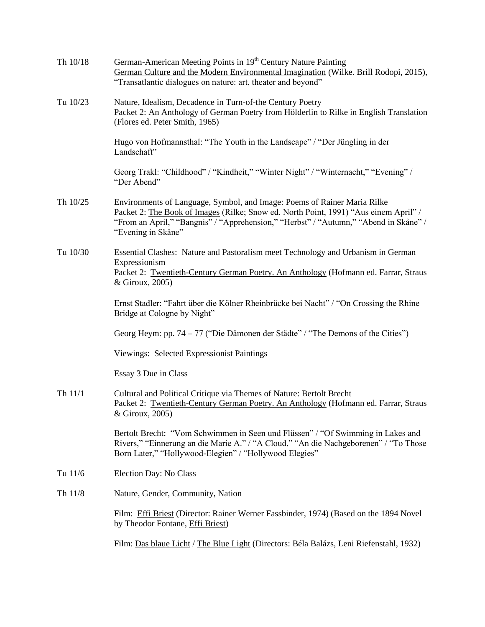| Th 10/18 | German-American Meeting Points in 19 <sup>th</sup> Century Nature Painting<br>German Culture and the Modern Environmental Imagination (Wilke. Brill Rodopi, 2015),<br>"Transatlantic dialogues on nature: art, theater and beyond"                                             |
|----------|--------------------------------------------------------------------------------------------------------------------------------------------------------------------------------------------------------------------------------------------------------------------------------|
| Tu 10/23 | Nature, Idealism, Decadence in Turn-of-the Century Poetry<br>Packet 2: An Anthology of German Poetry from Hölderlin to Rilke in English Translation<br>(Flores ed. Peter Smith, 1965)                                                                                          |
|          | Hugo von Hofmannsthal: "The Youth in the Landscape" / "Der Jüngling in der<br>Landschaft"                                                                                                                                                                                      |
|          | Georg Trakl: "Childhood" / "Kindheit," "Winter Night" / "Winternacht," "Evening" /<br>"Der Abend"                                                                                                                                                                              |
| Th 10/25 | Environments of Language, Symbol, and Image: Poems of Rainer Maria Rilke<br>Packet 2: The Book of Images (Rilke; Snow ed. North Point, 1991) "Aus einem April" /<br>"From an April," "Bangnis" / "Apprehension," "Herbst" / "Autumn," "Abend in Skåne" /<br>"Evening in Skåne" |
| Tu 10/30 | Essential Clashes: Nature and Pastoralism meet Technology and Urbanism in German<br>Expressionism<br>Packet 2: Twentieth-Century German Poetry. An Anthology (Hofmann ed. Farrar, Straus<br>& Giroux, 2005)                                                                    |
|          | Ernst Stadler: "Fahrt über die Kölner Rheinbrücke bei Nacht" / "On Crossing the Rhine<br>Bridge at Cologne by Night"                                                                                                                                                           |
|          | Georg Heym: pp. 74 – 77 ("Die Dämonen der Städte" / "The Demons of the Cities")                                                                                                                                                                                                |
|          | Viewings: Selected Expressionist Paintings                                                                                                                                                                                                                                     |
|          | Essay 3 Due in Class                                                                                                                                                                                                                                                           |
| Th 11/1  | Cultural and Political Critique via Themes of Nature: Bertolt Brecht<br>Packet 2: Twentieth-Century German Poetry. An Anthology (Hofmann ed. Farrar, Straus<br>& Giroux, 2005)                                                                                                 |
|          | Bertolt Brecht: "Vom Schwimmen in Seen und Flüssen" / "Of Swimming in Lakes and<br>Rivers," "Einnerung an die Marie A." / "A Cloud," "An die Nachgeborenen" / "To Those<br>Born Later," "Hollywood-Elegien" / "Hollywood Elegies"                                              |
| Tu 11/6  | Election Day: No Class                                                                                                                                                                                                                                                         |
| Th 11/8  | Nature, Gender, Community, Nation                                                                                                                                                                                                                                              |
|          | Film: Effi Briest (Director: Rainer Werner Fassbinder, 1974) (Based on the 1894 Novel<br>by Theodor Fontane, <i>Effi Briest</i> )                                                                                                                                              |
|          | Film: Das blaue Licht / The Blue Light (Directors: Béla Balázs, Leni Riefenstahl, 1932)                                                                                                                                                                                        |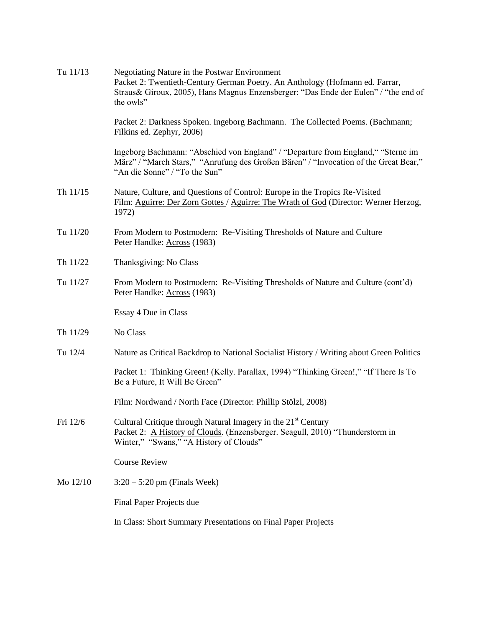| Tu 11/13 | Negotiating Nature in the Postwar Environment<br>Packet 2: Twentieth-Century German Poetry. An Anthology (Hofmann ed. Farrar,<br>Straus & Giroux, 2005), Hans Magnus Enzensberger: "Das Ende der Eulen" / "the end of<br>the owls" |
|----------|------------------------------------------------------------------------------------------------------------------------------------------------------------------------------------------------------------------------------------|
|          | Packet 2: Darkness Spoken. Ingeborg Bachmann. The Collected Poems. (Bachmann;<br>Filkins ed. Zephyr, 2006)                                                                                                                         |
|          | Ingeborg Bachmann: "Abschied von England" / "Departure from England," "Sterne im<br>März" / "March Stars," "Anrufung des Großen Bären" / "Invocation of the Great Bear,"<br>"An die Sonne" / "To the Sun"                          |
| Th 11/15 | Nature, Culture, and Questions of Control: Europe in the Tropics Re-Visited<br>Film: Aguirre: Der Zorn Gottes / Aguirre: The Wrath of God (Director: Werner Herzog,<br>1972)                                                       |
| Tu 11/20 | From Modern to Postmodern: Re-Visiting Thresholds of Nature and Culture<br>Peter Handke: Across (1983)                                                                                                                             |
| Th 11/22 | Thanksgiving: No Class                                                                                                                                                                                                             |
| Tu 11/27 | From Modern to Postmodern: Re-Visiting Thresholds of Nature and Culture (cont'd)<br>Peter Handke: Across (1983)                                                                                                                    |
|          | Essay 4 Due in Class                                                                                                                                                                                                               |
| Th 11/29 | No Class                                                                                                                                                                                                                           |
| Tu 12/4  | Nature as Critical Backdrop to National Socialist History / Writing about Green Politics                                                                                                                                           |
|          | Packet 1: Thinking Green! (Kelly. Parallax, 1994) "Thinking Green!," "If There Is To<br>Be a Future, It Will Be Green"                                                                                                             |
|          | Film: Nordwand / North Face (Director: Phillip Stölzl, 2008)                                                                                                                                                                       |
| Fri 12/6 | Cultural Critique through Natural Imagery in the 21 <sup>st</sup> Century<br>Packet 2: A History of Clouds. (Enzensberger. Seagull, 2010) "Thunderstorm in<br>Winter," "Swans," "A History of Clouds"                              |
|          | <b>Course Review</b>                                                                                                                                                                                                               |
| Mo 12/10 | $3:20 - 5:20$ pm (Finals Week)                                                                                                                                                                                                     |
|          | Final Paper Projects due                                                                                                                                                                                                           |
|          | In Class: Short Summary Presentations on Final Paper Projects                                                                                                                                                                      |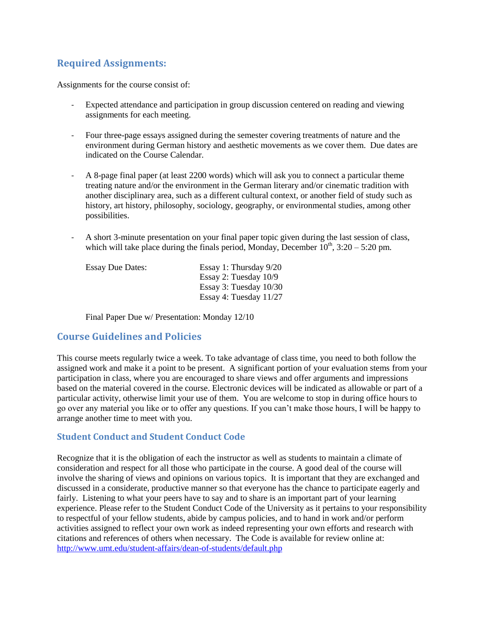## **Required Assignments:**

Assignments for the course consist of:

- Expected attendance and participation in group discussion centered on reading and viewing assignments for each meeting.
- Four three-page essays assigned during the semester covering treatments of nature and the environment during German history and aesthetic movements as we cover them. Due dates are indicated on the Course Calendar.
- A 8-page final paper (at least 2200 words) which will ask you to connect a particular theme treating nature and/or the environment in the German literary and/or cinematic tradition with another disciplinary area, such as a different cultural context, or another field of study such as history, art history, philosophy, sociology, geography, or environmental studies, among other possibilities.
- A short 3-minute presentation on your final paper topic given during the last session of class, which will take place during the finals period, Monday, December  $10^{th}$ ,  $3:20 - 5:20$  pm.

| <b>Essay Due Dates:</b> | Essay 1: Thursday 9/20   |
|-------------------------|--------------------------|
|                         | Essay 2: Tuesday $10/9$  |
|                         | Essay 3: Tuesday $10/30$ |
|                         | Essay 4: Tuesday $11/27$ |

Final Paper Due w/ Presentation: Monday 12/10

### **Course Guidelines and Policies**

This course meets regularly twice a week. To take advantage of class time, you need to both follow the assigned work and make it a point to be present. A significant portion of your evaluation stems from your participation in class, where you are encouraged to share views and offer arguments and impressions based on the material covered in the course. Electronic devices will be indicated as allowable or part of a particular activity, otherwise limit your use of them. You are welcome to stop in during office hours to go over any material you like or to offer any questions. If you can't make those hours, I will be happy to arrange another time to meet with you.

### **Student Conduct and Student Conduct Code**

Recognize that it is the obligation of each the instructor as well as students to maintain a climate of consideration and respect for all those who participate in the course. A good deal of the course will involve the sharing of views and opinions on various topics. It is important that they are exchanged and discussed in a considerate, productive manner so that everyone has the chance to participate eagerly and fairly. Listening to what your peers have to say and to share is an important part of your learning experience. Please refer to the Student Conduct Code of the University as it pertains to your responsibility to respectful of your fellow students, abide by campus policies, and to hand in work and/or perform activities assigned to reflect your own work as indeed representing your own efforts and research with citations and references of others when necessary. The Code is available for review online at: <http://www.umt.edu/student-affairs/dean-of-students/default.php>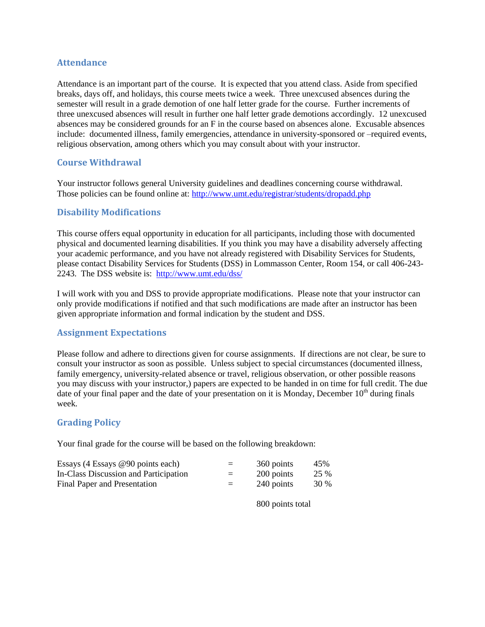### **Attendance**

Attendance is an important part of the course. It is expected that you attend class. Aside from specified breaks, days off, and holidays, this course meets twice a week. Three unexcused absences during the semester will result in a grade demotion of one half letter grade for the course. Further increments of three unexcused absences will result in further one half letter grade demotions accordingly. 12 unexcused absences may be considered grounds for an F in the course based on absences alone. Excusable absences include: documented illness, family emergencies, attendance in university-sponsored or –required events, religious observation, among others which you may consult about with your instructor.

### **Course Withdrawal**

Your instructor follows general University guidelines and deadlines concerning course withdrawal. Those policies can be found online at:<http://www.umt.edu/registrar/students/dropadd.php>

### **Disability Modifications**

This course offers equal opportunity in education for all participants, including those with documented physical and documented learning disabilities. If you think you may have a disability adversely affecting your academic performance, and you have not already registered with Disability Services for Students, please contact Disability Services for Students (DSS) in Lommasson Center, Room 154, or call 406-243- 2243. The DSS website is: <http://www.umt.edu/dss/>

I will work with you and DSS to provide appropriate modifications. Please note that your instructor can only provide modifications if notified and that such modifications are made after an instructor has been given appropriate information and formal indication by the student and DSS.

#### **Assignment Expectations**

Please follow and adhere to directions given for course assignments. If directions are not clear, be sure to consult your instructor as soon as possible. Unless subject to special circumstances (documented illness, family emergency, university-related absence or travel, religious observation, or other possible reasons you may discuss with your instructor,) papers are expected to be handed in on time for full credit. The due date of your final paper and the date of your presentation on it is Monday, December  $10<sup>th</sup>$  during finals week.

### **Grading Policy**

Your final grade for the course will be based on the following breakdown:

| Essays $(4$ Essays @90 points each)   | $=$ | 360 points | 45%  |
|---------------------------------------|-----|------------|------|
| In-Class Discussion and Participation | $=$ | 200 points | 25 % |
| Final Paper and Presentation          | $=$ | 240 points | 30 % |

800 points total